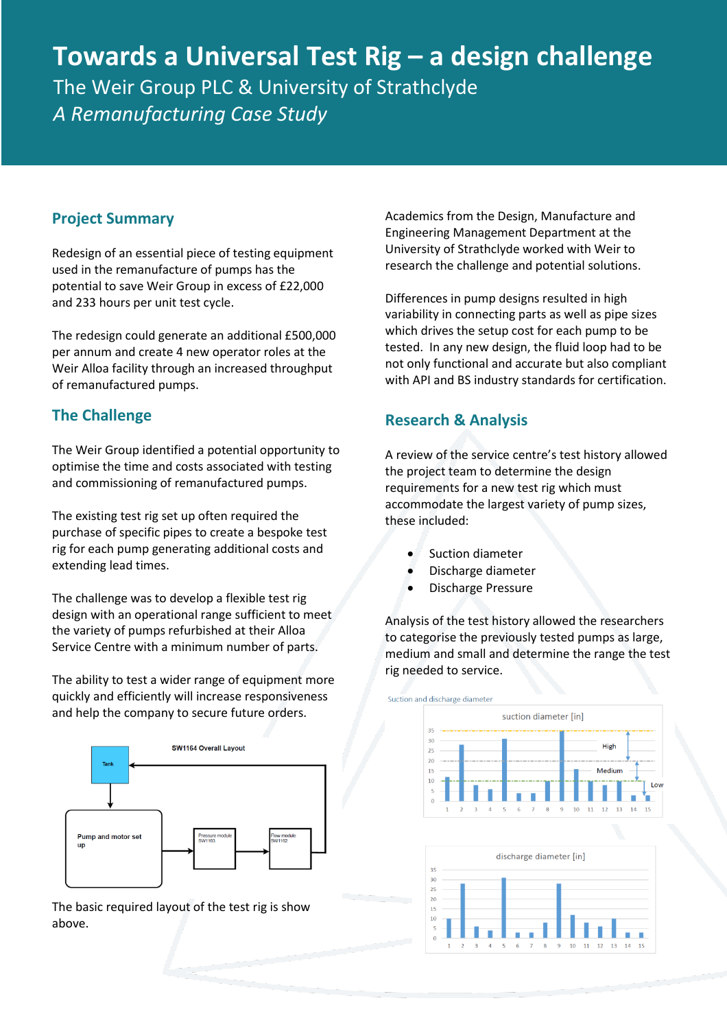# **Towards a Universal Test Rig – a design challenge** The Weir Group PLC & University of Strathclyde *A Remanufacturing Case Study*

#### **Project Summary**

Redesign of an essential piece of testing equipment used in the remanufacture of pumps has the potential to save Weir Group in excess of £22,000 and 233 hours per unit test cycle.

The redesign could generate an additional £500,000 per annum and create 4 new operator roles at the Weir Alloa facility through an increased throughput of remanufactured pumps.

### **The Challenge**

The Weir Group identified a potential opportunity to optimise the time and costs associated with testing and commissioning of remanufactured pumps.

The existing test rig set up often required the purchase of specific pipes to create a bespoke test rig for each pump generating additional costs and extending lead times.

The challenge was to develop a flexible test rig design with an operational range sufficient to meet the variety of pumps refurbished at their Alloa Service Centre with a minimum number of parts.

The ability to test a wider range of equipment more quickly and efficiently will increase responsiveness and help the company to secure future orders.



The basic required layout of the test rig is show above.

Academics from the Design, Manufacture and Engineering Management Department at the University of Strathclyde worked with Weir to research the challenge and potential solutions.

Differences in pump designs resulted in high variability in connecting parts as well as pipe sizes which drives the setup cost for each pump to be tested. In any new design, the fluid loop had to be not only functional and accurate but also compliant with API and BS industry standards for certification.

### **Research & Analysis**

A review of the service centre's test history allowed the project team to determine the design requirements for a new test rig which must accommodate the largest variety of pump sizes, these included:

- Suction diameter
- Discharge diameter
- Discharge Pressure

Analysis of the test history allowed the researchers to categorise the previously tested pumps as large, medium and small and determine the range the test rig needed to service.